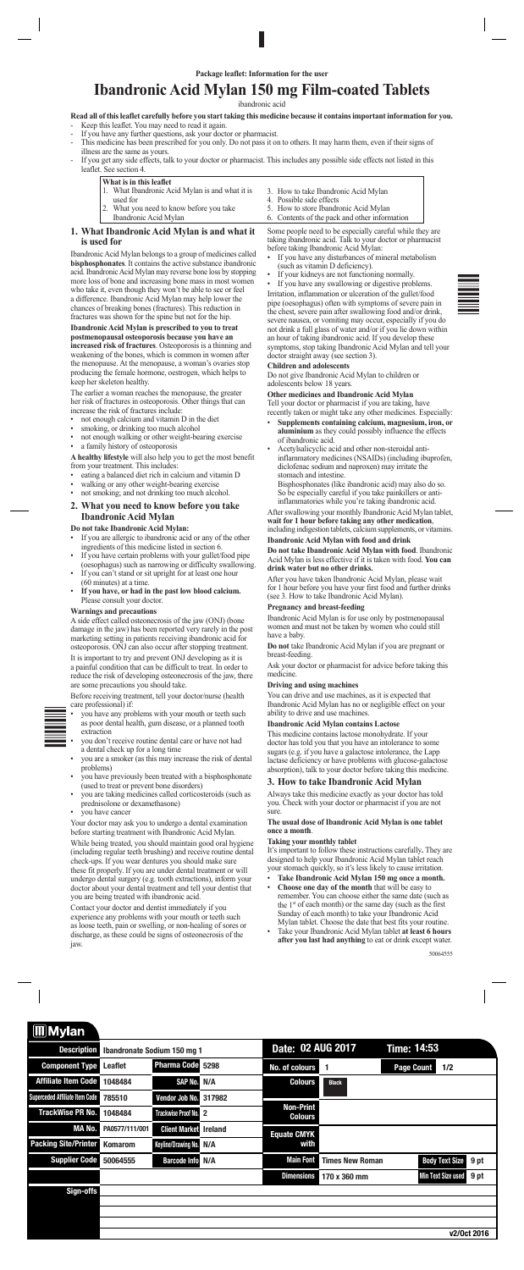

# **Ibandronic Acid Mylan 150 mg Film-coated Tablets**

#### ibandronic acid

# **Read all of this leaflet carefully before you start taking this medicine because it contains important information for you.**

- Keep this leaflet. You may need to read it again.
- If you have any further questions, ask your doctor or pharmacist. This medicine has been prescribed for you only. Do not pass it on to others. It may harm them, even if their signs of illness are the same as yours.
- If you get any side effects, talk to your doctor or pharmacist. This includes any possible side effects not listed in this leaflet. See section 4.

# **What is in this leaflet**

- 1. What Ibandronic Acid Mylan is and what it is
- used for
- 2. What you need to know before you take
- Ibandronic Acid Mylan
- 3. How to take Ibandronic Acid Mylan
- 4. Possible side effects
- 5. How to store Ibandronic Acid Mylan
- 6. Contents of the pack and other information

# **1. What Ibandronic Acid Mylan is and what it is used for**

- not enough calcium and vitamin D in the diet
- smoking, or drinking too much alcohol
- not enough walking or other weight-bearing exercise
- a family history of osteoporosis

Ibandronic Acid Mylan belongs to a group of medicines called **bisphosphonates**. It contains the active substance ibandronic acid. Ibandronic Acid Mylan may reverse bone loss by stopping more loss of bone and increasing bone mass in most women who take it, even though they won't be able to see or feel a difference. Ibandronic Acid Mylan may help lower the chances of breaking bones (fractures). This reduction in fractures was shown for the spine but not for the hip.

- If you are allergic to ibandronic acid or any of the other ingredients of this medicine listed in section 6.
- If you have certain problems with your gullet/food pipe (oesophagus) such as narrowing or difficulty swallowing.
- If you can't stand or sit upright for at least one hour (60 minutes) at a time.
- **If you have, or had in the past low blood calcium.** Please consult your doctor.

**Ibandronic Acid Mylan is prescribed to you to treat postmenopausal osteoporosis because you have an increased risk of fractures**. Osteoporosis is a thinning and weakening of the bones, which is common in women after the menopause. At the menopause, a woman's ovaries stop producing the female hormone, oestrogen, which helps to keep her skeleton healthy.

The earlier a woman reaches the menopause, the greater her risk of fractures in osteoporosis. Other things that can increase the risk of fractures include:

- you have any problems with your mouth or teeth such as poor dental health, gum disease, or a planned tooth extraction
	- you don't receive routine dental care or have not had a dental check up for a long time
	- you are a smoker (as this may increase the risk of dental problems)
	- you have previously been treated with a bisphosphonate (used to treat or prevent bone disorders)
- you are taking medicines called corticosteroids (such as prednisolone or dexamethasone)

**A healthy lifestyle** will also help you to get the most benefit from your treatment. This includes:

- eating a balanced diet rich in calcium and vitamin D
- walking or any other weight-bearing exercise
- not smoking; and not drinking too much alcohol.

# **2. What you need to know before you take Ibandronic Acid Mylan**

**Do not take Ibandronic Acid Mylan:**

If you have any swallowing or digestive problems. Irritation, inflammation or ulceration of the gullet/food pipe (oesophagus) often with symptoms of severe pain in the chest, severe pain after swallowing food and/or drink, severe nausea, or vomiting may occur, especially if you do not drink a full glass of water and/or if you lie down within an hour of taking ibandronic acid. If you develop these symptoms, stop taking Ibandronic Acid Mylan and tell your doctor straight away (see section 3).

#### **Warnings and precautions**

A side effect called osteonecrosis of the jaw (ONJ) (bone damage in the jaw) has been reported very rarely in the post marketing setting in patients receiving ibandronic acid for osteoporosis. ONJ can also occur after stopping treatment.

It is important to try and prevent ONJ developing as it is a painful condition that can be difficult to treat. In order to reduce the risk of developing osteonecrosis of the jaw, there are some precautions you should take.

Before receiving treatment, tell your doctor/nurse (health care professional) if:

#### • you have cancer

Your doctor may ask you to undergo a dental examination

before starting treatment with Ibandronic Acid Mylan.

While being treated, you should maintain good oral hygiene (including regular teeth brushing) and receive routine dental check-ups. If you wear dentures you should make sure these fit properly. If you are under dental treatment or will undergo dental surgery (e.g. tooth extractions), inform your doctor about your dental treatment and tell your dentist that you are being treated with ibandronic acid.

Contact your doctor and dentist immediately if you experience any problems with your mouth or teeth such as loose teeth, pain or swelling, or non-healing of sores or discharge, as these could be signs of osteonecrosis of the jaw.

Some people need to be especially careful while they are taking ibandronic acid. Talk to your doctor or pharmacist before taking Ibandronic Acid Mylan:

- If you have any disturbances of mineral metabolism (such as vitamin D deficiency).
- If your kidneys are not functioning normally.

#### **Children and adolescents**

Do not give Ibandronic Acid Mylan to children or adolescents below 18 years.

# **Other medicines and Ibandronic Acid Mylan**

Tell your doctor or pharmacist if you are taking, have recently taken or might take any other medicines. Especially:

- **Supplements containing calcium, magnesium, iron, or aluminium** as they could possibly influence the effects of ibandronic acid.
- Acetylsalicyclic acid and other non-steroidal antiinflammatory medicines (NSAIDs) (including ibuprofen, diclofenac sodium and naproxen) may irritate the stomach and intestine.

 Bisphosphonates (like ibandronic acid) may also do so. So be especially careful if you take painkillers or antiinflammatories while you're taking ibandronic acid.

After swallowing your monthly Ibandronic Acid Mylan tablet, **wait for 1 hour before taking any other medication**,

including indigestion tablets, calcium supplements, or vitamins. **Ibandronic Acid Mylan with food and drink**

**Do not take Ibandronic Acid Mylan with food**. Ibandronic Acid Mylan is less effective if it is taken with food. **You can drink water but no other drinks.**

After you have taken Ibandronic Acid Mylan, please wait for 1 hour before you have your first food and further drinks (see 3. How to take Ibandronic Acid Mylan).

#### **Pregnancy and breast-feeding**

Ibandronic Acid Mylan is for use only by postmenopausal women and must not be taken by women who could still have a baby.

**Do not** take Ibandronic Acid Mylan if you are pregnant or breast-feeding.

Ask your doctor or pharmacist for advice before taking this medicine.

#### **Driving and using machines**

You can drive and use machines, as it is expected that Ibandronic Acid Mylan has no or negligible effect on your ability to drive and use machines.

## **Ibandronic Acid Mylan contains Lactose**

This medicine contains lactose monohydrate. If your doctor has told you that you have an intolerance to some sugars (e.g. if you have a galactose intolerance, the Lapp lactase deficiency or have problems with glucose-galactose absorption), talk to your doctor before taking this medicine.

# **3. How to take Ibandronic Acid Mylan**

Always take this medicine exactly as your doctor has told you. Check with your doctor or pharmacist if you are not sure.

# **The usual dose of Ibandronic Acid Mylan is one tablet**



#### **once a month**.

#### **Taking your monthly tablet**

It's important to follow these instructions carefully**.** They are designed to help your Ibandronic Acid Mylan tablet reach your stomach quickly, so it's less likely to cause irritation.

- **Take Ibandronic Acid Mylan 150 mg once a month.**
- **Choose one day of the month** that will be easy to remember. You can choose either the same date (such as the 1st of each month) or the same day (such as the first Sunday of each month) to take your Ibandronic Acid Mylan tablet. Choose the date that best fits your routine.
- Take your Ibandronic Acid Mylan tablet **at least 6 hours after you last had anything** to eat or drink except water.

50064555

| <b>III</b> Mylan               |                                    |                            |                |                                    |                        |                    |                           |             |
|--------------------------------|------------------------------------|----------------------------|----------------|------------------------------------|------------------------|--------------------|---------------------------|-------------|
| <b>Description</b>             | <b>Ibandronate Sodium 150 mg 1</b> |                            |                | Date: 02 AUG 2017                  |                        | <b>Time: 14:53</b> |                           |             |
| <b>Component Type</b>          | <b>Leaflet</b>                     | Pharma Code 5298           |                | No. of colours                     | -1                     | <b>Page Count</b>  | 1/2                       |             |
| <b>Affiliate Item Code</b>     | 1048484                            | SAP No.                    | N/A            | <b>Colours</b>                     | <b>Black</b>           |                    |                           |             |
| Superceded Affiliate Item Code | 785510                             | Vendor Job No.             | 317982         |                                    |                        |                    |                           |             |
| <b>TrackWise PR No.</b>        | 1048484                            | <b>Trackwise Proof No.</b> | $\overline{2}$ | <b>Non-Print</b><br><b>Colours</b> |                        |                    |                           |             |
| MA No.                         | PA0577/111/001                     | <b>Client Market</b>       | <b>Ireland</b> | <b>Equate CMYK</b>                 |                        |                    |                           |             |
| <b>Packing Site/Printer</b>    | <b>Komarom</b>                     | Keyline/Drawing No.        | N/A            | with                               |                        |                    |                           |             |
| <b>Supplier Code</b>           | 50064555                           | <b>Barcode Info</b>        | N/A            | <b>Main Font</b>                   | <b>Times New Roman</b> |                    | <b>Body Text Size</b>     | 9 pt        |
|                                |                                    |                            |                | <b>Dimensions</b>                  | 170 x 360 mm           |                    | <b>Min Text Size used</b> | 9 pt        |
| Sign-offs                      |                                    |                            |                |                                    |                        |                    |                           |             |
|                                |                                    |                            |                |                                    |                        |                    |                           |             |
|                                |                                    |                            |                |                                    |                        |                    |                           |             |
|                                |                                    |                            |                |                                    |                        |                    |                           | v2/0ct 2016 |